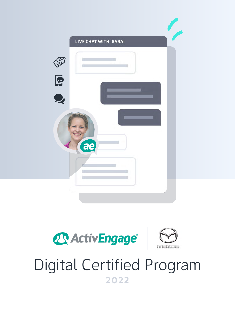





# Digital Certified Program **2022**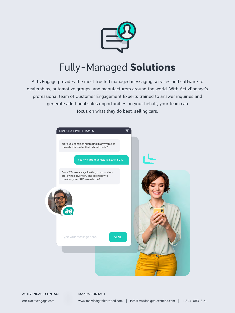

# Fully-Managed **Solutions**

ActivEngage provides the most trusted managed messaging services and software to dealerships, automotive groups, and manufacturers around the world. With ActivEngage's professional team of Customer Engagement Experts trained to answer inquiries and generate additional sales opportunities on your behalf, your team can focus on what they do best: selling cars.

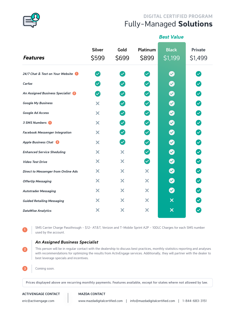

# Fully-Managed **Solutions DIGITAL CERTIFIED PROGRAM**

*Best Value*

| <b>Features</b>                            | <b>Silver</b><br>\$599     | Gold<br>\$699                     | <b>Platinum</b><br>\$899     | <b>Black</b><br>\$1,199   | <b>Private</b><br>\$1,499  |
|--------------------------------------------|----------------------------|-----------------------------------|------------------------------|---------------------------|----------------------------|
| 24/7 Chat & Text on Your Website           | $\sim$                     | $\checkmark$                      |                              | $\blacktriangledown$      |                            |
| Carfax                                     | $\boldsymbol{\mathcal{S}}$ |                                   |                              |                           | Ø                          |
| An Assigned Business Specialist            | $\sim$                     | $\blacktriangledown$              | $\boldsymbol{\omega}$        | $\blacktriangledown$      | $\boldsymbol{\omega}$      |
| <b>Google My Business</b>                  | ×                          | $\overline{\smile}$               | Ø                            | $\bullet$                 | $\boldsymbol{\omega}$      |
| <b>Google Ad Access</b>                    | ×                          | $\sim$                            | Ø                            | Ø                         | Ø                          |
| 3 SMS Numbers 1                            | ×                          | $\boldsymbol{\triangledown}$      | Ø                            | $\bullet$                 | Ø                          |
| <b>Facebook Messenger Integration</b>      | ×                          | $\sim$                            | Ø                            | $\bullet$                 | $\blacktriangledown$       |
| Apple Business Chat 8                      | ×                          | $\left( \bigtriangledown \right)$ | $\blacktriangledown$         | $\bullet$                 | $\boldsymbol{\omega}$      |
| <b>Enhanced Service Sheduling</b>          | ×                          | ×                                 | $\blacktriangledown$         | Ø                         | Ø                          |
| <b>Video Test Drive</b>                    | ×                          | ×                                 | $\boldsymbol{\triangledown}$ | $\bullet$                 | Ø                          |
| <b>Direct to Messenger from Online Ads</b> | ×                          | ×                                 | ×                            | $\blacktriangledown$      | $\boldsymbol{\omega}$      |
| <b>OfferUp Messaging</b>                   | ×                          | ×                                 | ×                            | $\blacktriangledown$      | Ø                          |
| <b>Autotrader Messaging</b>                | ×                          | ×                                 | ×                            | $\sim$                    | $\boldsymbol{\omega}$      |
| <b>Guided Retailing Messaging</b>          | ×                          | ×                                 | ×                            | $\boldsymbol{\mathsf{x}}$ | $\boldsymbol{\mathcal{S}}$ |
| <b>DataWise Analytics</b>                  | ×                          | X                                 | x                            | $\boldsymbol{\mathsf{x}}$ |                            |

SMS Carrier Charge Passthrough - \$12- AT&T, Verizon and T-Mobile Sprint A2P - 10DLC Charges for each SMS number used by the account.

#### *An Assigned Business Specialist*

This person will be in regular contact with the dealership to discuss best practices, monthly statistics reporting and analyses with recommendations for optimizing the results from ActivEngage services. Additionally, they will partner with the dealer to best leverage specials and incentives.

**3** Coming soon.

**2**

**1**

**Prices displayed above are recurring monthly payments. Features available, except for states where not allowed by law.**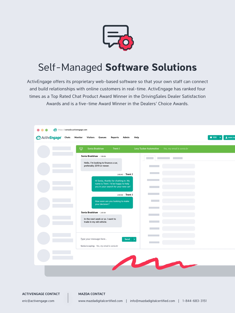

# Self-Managed **Software Solutions**

ActivEngage offers its proprietary web-based software so that your own staff can connect and build relationships with online customers in real-time. ActivEngage has ranked four times as a Top Rated Chat Product Award Winner in the DrivingSales Dealer Satisfaction Awards and is a five-time Award Winner in the Dealers' Choice Awards.

| 号<br>Sonia Bradshaw<br>Trent J<br>Levy Tucker Automotive<br>Yes, my email is sonia.br |  |
|---------------------------------------------------------------------------------------|--|
| Sonia Bradshaw - 1:59:36                                                              |  |
| Hello, I'm looking to finance a car,<br>preferably 2019 or newer.                     |  |
| 2:00:45 - Trent J                                                                     |  |
| Hi Sonia, thanks for chatting in. My                                                  |  |
| name is Trent. I'd be happy to help<br>you in your search for your new car!           |  |
| 2:00:58 - Trent J                                                                     |  |
| How soon are you looking to make<br>your decision?                                    |  |
| Sonia Bradshaw - 2:01:34                                                              |  |
| In the next week or so. I want to<br>trade in my old vehicle.                         |  |
|                                                                                       |  |
| Type your message here<br>Send                                                        |  |
| Sonia is saying: Yes, my email is sonia.br                                            |  |
|                                                                                       |  |
| M                                                                                     |  |

**ACTIVENGAGE CONTACT ACTIVENGAGE CONTACT**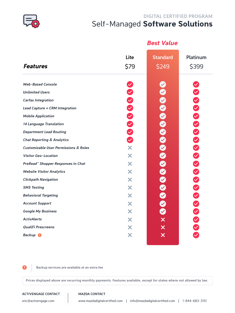

## Self-Managed **Software Solutions DIGITAL CERTIFIED PROGRAM**

|                                                             |              | <b>Best Value</b>        |                          |
|-------------------------------------------------------------|--------------|--------------------------|--------------------------|
| <b>Features</b>                                             | Lite<br>\$79 | <b>Standard</b><br>\$249 | <b>Platinum</b><br>\$399 |
| <b>Web-Based Console</b><br><b>Unlimited Users</b>          |              |                          |                          |
| <b>Carfax Integration</b>                                   | 0000000      |                          |                          |
| Lead Capture + CRM Integration<br><b>Mobile Application</b> |              |                          |                          |
| <b>14 Language Translation</b>                              |              |                          |                          |
| <b>Department Lead Routing</b>                              |              |                          |                          |
| <b>Chat Reporting &amp; Analytics</b>                       |              |                          |                          |
| <b>Customizable User Permissions &amp; Roles</b>            | X.           |                          |                          |
| <b>Visitor Geo-Location</b>                                 | X            |                          |                          |
| PreRead™ Shopper Responses in Chat                          | X            |                          |                          |
| <b>Website Visitor Analytics</b>                            | X            |                          |                          |
| <b>Clickpath Navigation</b>                                 | X            |                          |                          |
| <b>SMS Texting</b>                                          | X            |                          |                          |
| <b>Behavioral Targeting</b>                                 | X            |                          |                          |
| <b>Account Support</b>                                      | X            |                          |                          |
| <b>Google My Business</b>                                   | X            |                          |                          |
| <b>ActivAlerts</b>                                          | X            |                          |                          |
| <b>QualiFi Prescreens</b>                                   | X            | $\bm{\times}$            |                          |
| <b>Backup</b>                                               | X            | $\bm{\times}$            |                          |

**1 Backup services are available at an extra fee** 

**Prices displayed above are recurring monthly payments. Features available, except for states where not allowed by law.**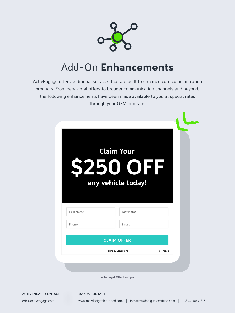

# Add-On **Enhancements**

ActivEngage offers additional services that are built to enhance core communication products. From behavioral offers to broader communication channels and beyond, the following enhancements have been made available to you at special rates through your OEM program.

| 9                 | 250<br><b>TOER</b> |  |
|-------------------|--------------------|--|
|                   |                    |  |
|                   | any vehicle today! |  |
|                   |                    |  |
|                   |                    |  |
| <b>First Name</b> | Last Name          |  |
| Phone             | Email              |  |

ActivTarget Offer Example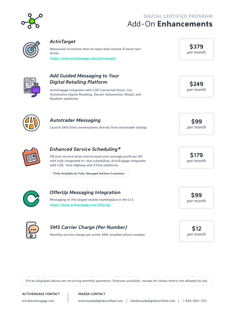

# Add-On **Enhancements DIGITAL CERTIFIED PROGRAM**



### *ActivTarget*

*Behavioral incentives that increase lead volume & boost test drives.*  **<https://www.activengage.com/activtarget/>**

### *Add Guided Messaging to Your Digital Retailing Platform*

*ActivEngage integrates with CDK Connected Store, Cox Automotive Digital Retailing, Darwin Automotive, Modal, and Roadster platforms.*

**\$379**  *per month*

**\$249**

 *per month*



## Autotrader Messaging **\$99**

*Launch SMS/chat conversations directly from Autotrader listings. per month*



## *Enhanced Service Scheduling\**

*Fill your service lanes and increase your average profit per RO with fully integrated in-chat scheduling. ActivEngage integrates with CDK, Time Highway and XTime platforms.*

**\*Only Available for Fully-Managed Solution Customers**



# **\$99** *OfferUp Messaging Integration*

*Messaging on the largest mobile marketplace in the U.S.* **<https://www.activengage.com/offerup/>**

 *per month*

**\$179**

 *per month*



## **\$12** *SMS Carrier Charge (Per Number)*

*Monthly service charge per active SMS-enabled phone number. per month*

**Prices displayed above are recurring monthly payments. Features available, except for states where not allowed by law.**

#### **ACTIVENGAGE CONTACT ACTIVENGAGE AND ACTIVENGAGE**

eric@activengage.com www.mazdadigitalcertified.com | info@mazdadigitalcertified.com | 1-844-683-3151